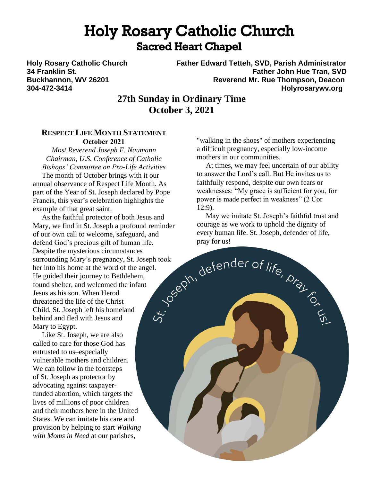# **Holy Rosary Catholic Church Sacred Heart Chapel**

**Holy Rosary Catholic Church Father Edward Tetteh, SVD, Parish Administrator 34 Franklin St. Father John Hue Tran, SVD Buckhannon, WV 26201 Reverend Mr. Rue Thompson, Deacon 304-472-3414 Holyrosarywv.org**

## **27th Sunday in Ordinary Time October 3, 2021**

### **RESPECT LIFE MONTH STATEMENT October 2021**

*Most Reverend Joseph F. Naumann Chairman, U.S. Conference of Catholic Bishops' Committee on Pro-Life Activities*

 The month of October brings with it our annual observance of Respect Life Month. As part of the Year of St. Joseph declared by Pope Francis, this year's celebration highlights the example of that great saint.

 As the faithful protector of both Jesus and Mary, we find in St. Joseph a profound reminder of our own call to welcome, safeguard, and defend God's precious gift of human life. Despite the mysterious circumstances Despite the mysterious circumstances<br>surrounding Mary's pregnancy, St. Joseph took<br>her into his home at the word of the angel.<br>He guided their journey to Bethlehem,<br>found shelter, and welcomed the infant<br>Jesus as his son. her into his home at the word of the angel. He guided their journey to Bethlehem, found shelter, and welcomed the infant Jesus as his son. When Herod threatened the life of the Christ Child, St. Joseph left his homeland behind and fled with Jesus and Mary to Egypt.

 Like St. Joseph, we are also called to care for those God has entrusted to us–especially vulnerable mothers and children. We can follow in the footsteps of St. Joseph as protector by advocating against taxpayerfunded abortion, which targets the lives of millions of poor children and their mothers here in the United States. We can imitate his care and provision by helping to start *Walking with Moms in Need* at our parishes,

"walking in the shoes" of mothers experiencing a difficult pregnancy, especially low-income mothers in our communities.

 At times, we may feel uncertain of our ability to answer the Lord's call. But He invites us to faithfully respond, despite our own fears or weaknesses: "My grace is sufficient for you, for power is made perfect in weakness" (2 Cor 12:9).

 May we imitate St. Joseph's faithful trust and courage as we work to uphold the dignity of every human life. St. Joseph, defender of life, pray for us!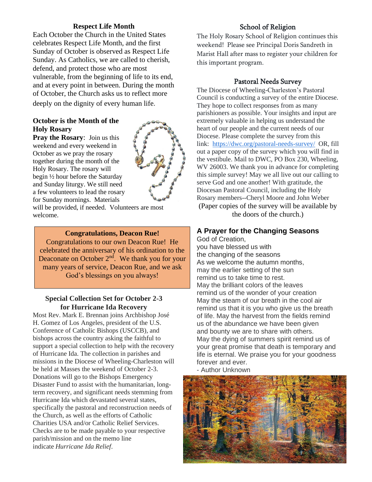### **Respect Life Month**

Each October the Church in the United States celebrates Respect Life Month, and the first Sunday of October is observed as Respect Life Sunday. As Catholics, we are called to cherish, defend, and protect those who are most vulnerable, from the beginning of life to its end, and at every point in between. During the month of October, the Church asks us to reflect more deeply on the dignity of every human life.

### **October is the Month of the Holy Rosary**

**Pray the Rosary**: Join us this weekend and every weekend in October as we pray the rosary together during the month of the Holy Rosary. The rosary will begin ½ hour before the Saturday and Sunday liturgy. We still need a few volunteers to lead the rosary for Sunday mornings. Materials



will be provided, if needed. Volunteers are most welcome.

#### **Congratulations, Deacon Rue!**

Congratulations to our own Deacon Rue! He celebrated the anniversary of his ordination to the Deaconate on October  $2<sup>nd</sup>$ . We thank you for your many years of service, Deacon Rue, and we ask God's blessings on you always!

#### **Special Collection Set for October 2-3 for Hurricane Ida Recovery**

Most Rev. Mark E. Brennan joins Archbishop José H. Gomez of Los Angeles, president of the U.S. Conference of Catholic Bishops (USCCB), and bishops across the country asking the faithful to support a special collection to help with the recovery of Hurricane Ida. The collection in parishes and missions in the Diocese of Wheeling-Charleston will be held at Masses the weekend of October 2-3. Donations will go to the Bishops Emergency Disaster Fund to assist with the humanitarian, longterm recovery, and significant needs stemming from Hurricane Ida which devastated several states, specifically the pastoral and reconstruction needs of the Church, as well as the efforts of Catholic Charities USA and/or Catholic Relief Services. Checks are to be made payable to your respective parish/mission and on the memo line indicate *Hurricane Ida Relief*.

### School of Religion

The Holy Rosary School of Religion continues this weekend! Please see Principal Doris Sandreth in Marist Hall after mass to register your children for this important program.

#### Pastoral Needs Survey

The Diocese of Wheeling-Charleston's Pastoral Council is conducting a survey of the entire Diocese. They hope to collect responses from as many parishioners as possible. Your insights and input are extremely valuable in helping us understand the heart of our people and the current needs of our Diocese. Please complete the survey from this link: <https://dwc.org/pastoral-needs-survey/> OR, fill out a paper copy of the survey which you will find in the vestibule. Mail to DWC, PO Box 230, Wheeling, WV 26003. We thank you in advance for completing this simple survey! May we all live out our calling to serve God and one another! With gratitude, the Diocesan Pastoral Council, including the Holy Rosary members--Cheryl Moore and John Weber (Paper copies of the survey will be available by the doors of the church.)

### **A Prayer for the Changing Seasons**

God of Creation, you have blessed us with the changing of the seasons As we welcome the autumn months, may the earlier setting of the sun remind us to take time to rest. May the brilliant colors of the leaves remind us of the wonder of your creation May the steam of our breath in the cool air remind us that it is you who give us the breath of life. May the harvest from the fields remind us of the abundance we have been given and bounty we are to share with others. May the dying of summers spirit remind us of your great promise that death is temporary and life is eternal. We praise you for your goodness forever and ever.

- Author Unknown

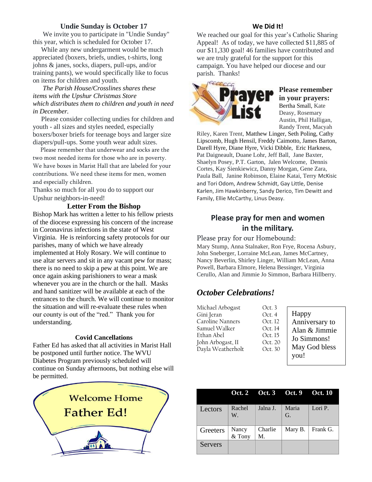#### **Undie Sunday is October 17**

 We invite you to participate in "Undie Sunday" this year, which is scheduled for October 17.

 While any new undergarment would be much appreciated (boxers, briefs, undies, t-shirts, long johns & janes, socks, diapers, pull-ups, and/or training pants), we would specifically like to focus on items for children and youth.

 *The Parish House/Crosslines shares these items with the Upshur Christmas Store which distributes them to children and youth in need in December.* 

 Please consider collecting undies for children and youth - all sizes and styles needed, especially boxers/boxer briefs for teenage boys and larger size diapers/pull-ups. Some youth wear adult sizes.

 Please remember that underwear and socks are the two most needed items for those who are in poverty. We have boxes in Marist Hall that are labeled for your contributions. We need these items for men, women and especially children.

Thanks so much for all you do to support our Upshur neighbors-in-need!

#### **Letter From the Bishop**

Bishop Mark has written a letter to his fellow priests of the diocese expressing his concern of the increase in Coronavirus infections in the state of West Virginia. He is reinforcing safety protocols for our parishes, many of which we have already implemented at Holy Rosary. We will continue to use altar servers and sit in any vacant pew for mass; there is no need to skip a pew at this point. We are once again asking parishioners to wear a mask whenever you are in the church or the hall. Masks and hand sanitizer will be available at each of the entrances to the church. We will continue to monitor the situation and will re-evaluate these rules when our county is out of the "red." Thank you for understanding.

#### **Covid Cancellations**

Father Ed has asked that all activities in Marist Hall be postponed until further notice. The WVU Diabetes Program previously scheduled will continue on Sunday afternoons, but nothing else will be permitted.



#### **We Did It!**

We reached our goal for this year's Catholic Sharing Appeal! As of today, we have collected \$11,885 of our \$11,330 goal! 46 families have contributed and we are truly grateful for the support for this campaign. You have helped our diocese and our parish. Thanks!



#### **Please remember in your prayers:** Bertha Small, Kate Deasy, Rosemary Austin, Phil Halligan, Randy Trent, Macyah

Riley, Karen Trent, Matthew Linger, Seth Poling, Cathy Lipscomb, Hugh Hensil, Freddy Caimotto, James Barton, Darell Hyre, Diane Hyre, Vicki Dibble, Eric Harkness, Pat Daigneault, Duane Lohr, Jeff Ball, Jane Baxter, Shaelyn Posey, P.T. Garton, Jalen Welcome, Dennis Cortes, Kay Sienkiewicz, Danny Morgan, Gene Zara, Paula Ball, Janine Robinson, Elaine Katai, Terry McKisic and Tori Odom, Andrew Schmidt, Gay Little, Denise Karlen, Jim Hawkinberry, Sandy Derico, Tim Dewitt and Family, Ellie McCarthy, Linus Deasy.

### **Please pray for men and women in the military.**

Please pray for our Homebound: Mary Stump, Anna Stalnaker, Ron Frye, Rocena Asbury, John Sneberger, Lorraine McLean, James McCartney, Nancy Beverlin, Shirley Linger, William McLean, Anna Powell, Barbara Elmore, Helena Bessinger, Virginia Cerullo, Alan and Jimmie Jo Simmon, Barbara Hillberry.

### *October Celebrations!*

| Michael Arbogast  | Oct.3   |                |
|-------------------|---------|----------------|
| Gini Jeran        | Oct. 4  | Happy          |
| Caroline Nanners  | Oct. 12 | Anniversary to |
| Samuel Walker     | Oct. 14 | Alan & Jimmie  |
| Ethan Abel        | Oct. 15 | Jo Simmons!    |
| John Arbogast, II | Oct. 20 |                |
| Dayla Weatherholt | Oct. 30 | May God bless  |
|                   |         | you!           |

|          |                 | Oct. 2 Oct. 3 Oct. 9 |             | <b>Oct. 10</b> |
|----------|-----------------|----------------------|-------------|----------------|
| Lectors  | Rachel<br>W.    | Jalna J.             | Maria<br>G. | Lori P.        |
| Greeters | Nancy<br>& Tony | Charlie<br>M.        | Mary B.     | Frank G.       |
| Servers  |                 |                      |             |                |